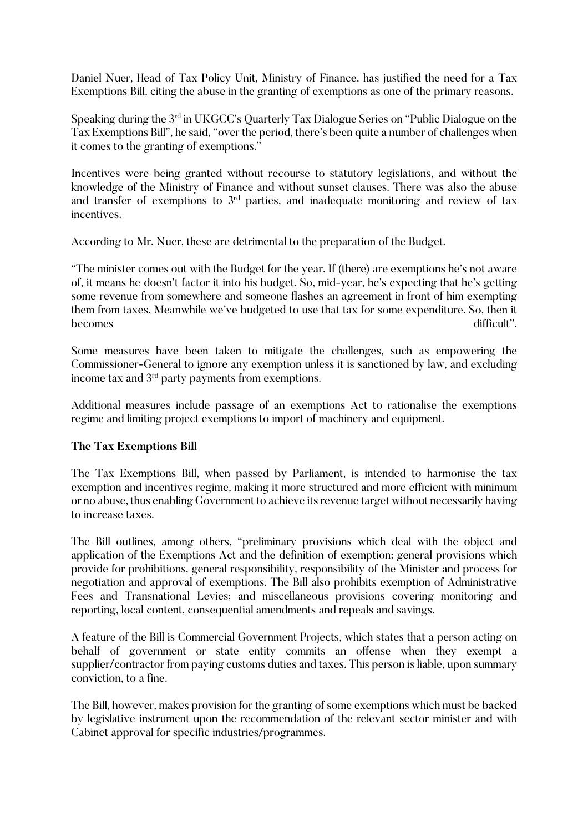Daniel Nuer, Head of Tax Policy Unit, Ministry of Finance, has justified the need for a Tax Exemptions Bill, citing the abuse in the granting of exemptions as one of the primary reasons.

Speaking during the 3rd in UKGCC's Quarterly Tax Dialogue Series on "Public Dialogue on the Tax Exemptions Bill", he said, "over the period, there's been quite a number of challenges when it comes to the granting of exemptions."

Incentives were being granted without recourse to statutory legislations, and without the knowledge of the Ministry of Finance and without sunset clauses. There was also the abuse and transfer of exemptions to  $3<sup>rd</sup>$  parties, and inadequate monitoring and review of tax incentives.

According to Mr. Nuer, these are detrimental to the preparation of the Budget.

"The minister comes out with the Budget for the year. If (there) are exemptions he's not aware of, it means he doesn't factor it into his budget. So, mid-year, he's expecting that he's getting some revenue from somewhere and someone flashes an agreement in front of him exempting them from taxes. Meanwhile we've budgeted to use that tax for some expenditure. So, then it becomes difficult".

Some measures have been taken to mitigate the challenges, such as empowering the Commissioner-General to ignore any exemption unless it is sanctioned by law, and excluding income tax and 3rd party payments from exemptions.

Additional measures include passage of an exemptions Act to rationalise the exemptions regime and limiting project exemptions to import of machinery and equipment.

## **The Tax Exemptions Bill**

The Tax Exemptions Bill, when passed by Parliament, is intended to harmonise the tax exemption and incentives regime, making it more structured and more efficient with minimum or no abuse, thus enabling Government to achieve its revenue target without necessarily having to increase taxes.

The Bill outlines, among others, "preliminary provisions which deal with the object and application of the Exemptions Act and the definition of exemption; general provisions which provide for prohibitions, general responsibility, responsibility of the Minister and process for negotiation and approval of exemptions. The Bill also prohibits exemption of Administrative Fees and Transnational Levies; and miscellaneous provisions covering monitoring and reporting, local content, consequential amendments and repeals and savings.

A feature of the Bill is Commercial Government Projects, which states that a person acting on behalf of government or state entity commits an offense when they exempt a supplier/contractor from paying customs duties and taxes. This person is liable, upon summary conviction, to a fine.

The Bill, however, makes provision for the granting of some exemptions which must be backed by legislative instrument upon the recommendation of the relevant sector minister and with Cabinet approval for specific industries/programmes.